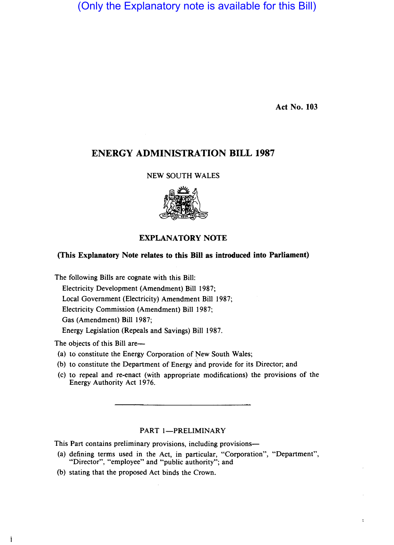(Only the Explanatory note is available for this Bill)

Act No. 103

ł,

# ENERGY ADMINISTRATION BILL 1987

#### NEW SOUTH WALES



## EXPLANATORY NOTE

### (This Explanatory Note relates to this Bill as introduced into Parliament)

The following Bills are cognate with this Bill:

Electricity Development (Amendment) Bill 1987;

Local Government (Electricity) Amendment Bill 1987;

Electricity Commission (Amendment) Bill 1987;

Gas (Amendment) Bill 1987;

Energy Legislation (Repeals and Savings) Bill 1987.

The objects of this Bill are—

- (a) to constitute the Energy Corporation of New South Wales;
- (b) to constitute the Department of Energy and provide for its Director; and
- (c) to repeal and re-enact (with appropriate modifications) the provisions of the Energy Authority Act 1976.

## PART 1-PRELIMINARY

This Part contains preliminary provisions, including provisions—

- (a) defining terms used in the Act, in particular, "Corporation", "Department", "Director", "employee" and "public authority"; and
- (b) stating that the proposed Act binds the Crown.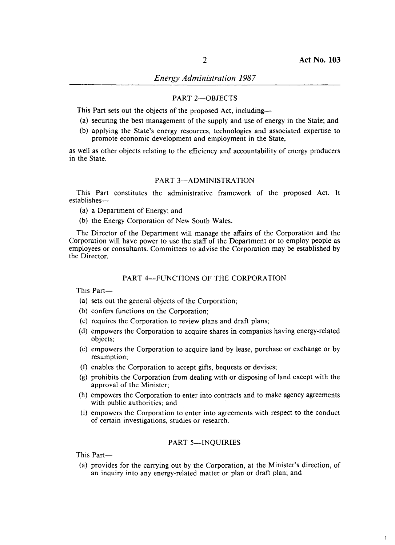Ĭ

## *Energy Administration 1987*

#### PART 2-OBJECTS

This Part sets out the objects of the proposed Act, including-

- (a) securing the best management of the supply and use of energy in the State; and
- (b) applying the State's energy resources, technologies and associated expertise to promote economic development and employment in the State,

as well as other objects relating to the efficiency and accountability of energy producers in the State.

#### PART 3-ADMINISTRATION

This Part constitutes the administrative framework of the proposed Act. It establishes-

- (a) a Department of Energy; and
- (b) the Energy Corporation of New South Wales.

The Director of the Department will manage the affairs of the Corporation and the Corporation will have power to use the staff of the Department or to employ people as employees or consultants. Committees to advise the Corporation may be established by the Director.

#### PART 4-FUNCTIONS OF THE CORPORATION

This Part-

- (a) sets out the general objects of the Corporation;
- (b) confers functions on the Corporation;
- (c) requires the Corporation to review plans and draft plans;
- (d) empowers the Corporation to acquire shares in companies having energy-related objects;
- (e) empowers the Corporation to acquire land by lease, purchase or exchange or by resumption;
- (f) enables the Corporation to accept gifts, bequests or devises;
- (g) prohibits the Corporation from dealing with or disposing of land except with the approval of the Minister;
- (h) empowers the Corporation to enter into contracts and to make agency agreements with public authorities; and
- (i) empowers the Corporation to enter into agreements with respect to the conduct of certain investigations, studies or research.

### PART 5-INQUIRIES

This Part-

(a) provides for the carrying out by the Corporation, at the Minister's direction, of an inquiry into any energy-related matter or plan or draft plan; and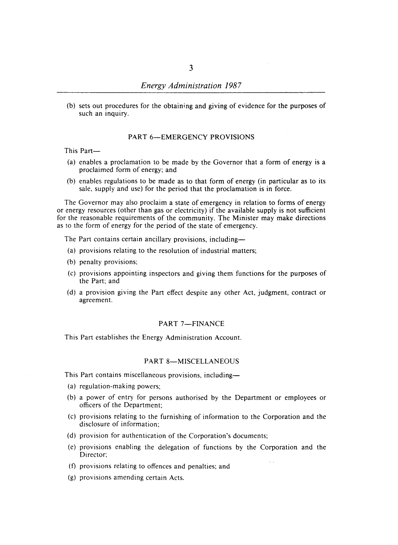(b) sets out procedures for the obtaining and giving of evidence for the purposes of such an inquiry.

### PART 6-EMERGENCY PROVISIONS

This Part-

- (a) enables a proclamation to be made by the Governor that a form of energy is a proclaimed form of energy; and
- (b) enables regulations to be made as to that form of energy (in particular as to its sale, supply and use) for the period that the proclamation is in force.

The Governor may also proclaim a state of emergency in relation to forms of energy or energy resources (other than gas or electricity) if the available supply is not sufficient for the reasonable requirements of the community. The Minister may make directions as to the form of energy for the period of the state of emergency.

The Part contains certain ancillary provisions, including-

- (a) provisions relating to the resolution of industrial matters;
- (b) penalty provisions;
- (c) provisions appointing inspectors and giving them functions for the purposes of the Part; and
- (d) a provision giving the Part effect despite any other Act, judgment, contract or agreement.

### PART 7-FINANCE

This Part establishes the Energy Administration Account.

#### PART 8-MISCELLANEOUS

This Part contains miscellaneous provisions, including-

- (a) regulation-making powers;
- (b) a power of entry for persons authorised by the Department or employees or officers of the Department;
- (c) provisions relating to the furnishing of information to the Corporation and the disclosure of information;
- (d) provision for authentication of the Corporation's documents;
- (e) provisions enabling the delegation of functions by the Corporation and the Director;
- (f) provisions relating to offences and penalties; and
- (g) provisions amending certain Acts.